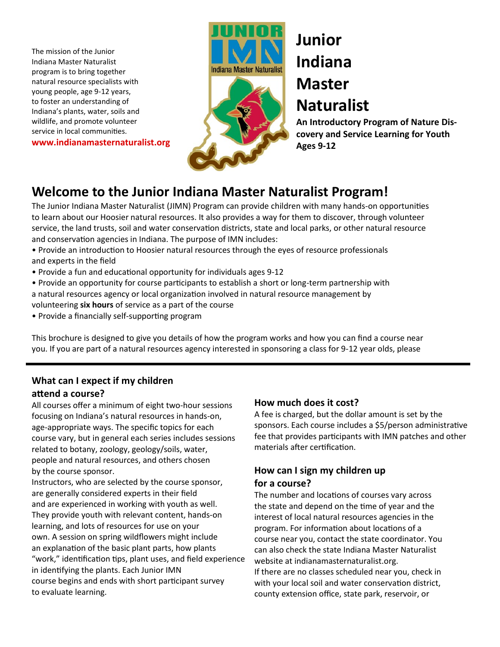The mission of the Junior Indiana Master Naturalist program is to bring together natural resource specialists with young people, age 9-12 years, to foster an understanding of Indiana's plants, water, soils and wildlife, and promote volunteer service in local communities.

**www.indianamasternaturalist.org**





# **Junior Indiana Master**

**Naturalist**

**An Introductory Program of Nature Discovery and Service Learning for Youth Ages 9-12**

# **Welcome to the Junior Indiana Master Naturalist Program!**

The Junior Indiana Master Naturalist (JIMN) Program can provide children with many hands-on opportunities to learn about our Hoosier natural resources. It also provides a way for them to discover, through volunteer service, the land trusts, soil and water conservation districts, state and local parks, or other natural resource and conservation agencies in Indiana. The purpose of IMN includes:

- Provide an introduction to Hoosier natural resources through the eyes of resource professionals and experts in the field
- Provide a fun and educational opportunity for individuals ages 9-12
- Provide an opportunity for course participants to establish a short or long-term partnership with a natural resources agency or local organization involved in natural resource management by volunteering **six hours** of service as a part of the course
- Provide a financially self-supporting program

This brochure is designed to give you details of how the program works and how you can find a course near you. If you are part of a natural resources agency interested in sponsoring a class for 9-12 year olds, please

### **What can I expect if my children attend a course?**

All courses offer a minimum of eight two-hour sessions focusing on Indiana's natural resources in hands-on, age-appropriate ways. The specific topics for each course vary, but in general each series includes sessions related to botany, zoology, geology/soils, water, people and natural resources, and others chosen by the course sponsor.

Instructors, who are selected by the course sponsor, are generally considered experts in their field and are experienced in working with youth as well. They provide youth with relevant content, hands-on learning, and lots of resources for use on your own. A session on spring wildflowers might include an explanation of the basic plant parts, how plants "work," identification tips, plant uses, and field experience in identifying the plants. Each Junior IMN course begins and ends with short participant survey to evaluate learning.

#### **How much does it cost?**

A fee is charged, but the dollar amount is set by the sponsors. Each course includes a \$5/person administrative fee that provides participants with IMN patches and other materials after certification.

#### **How can I sign my children up for a course?**

The number and locations of courses vary across the state and depend on the time of year and the interest of local natural resources agencies in the program. For information about locations of a course near you, contact the state coordinator. You can also check the state Indiana Master Naturalist website at indianamasternaturalist.org. If there are no classes scheduled near you, check in with your local soil and water conservation district, county extension office, state park, reservoir, or